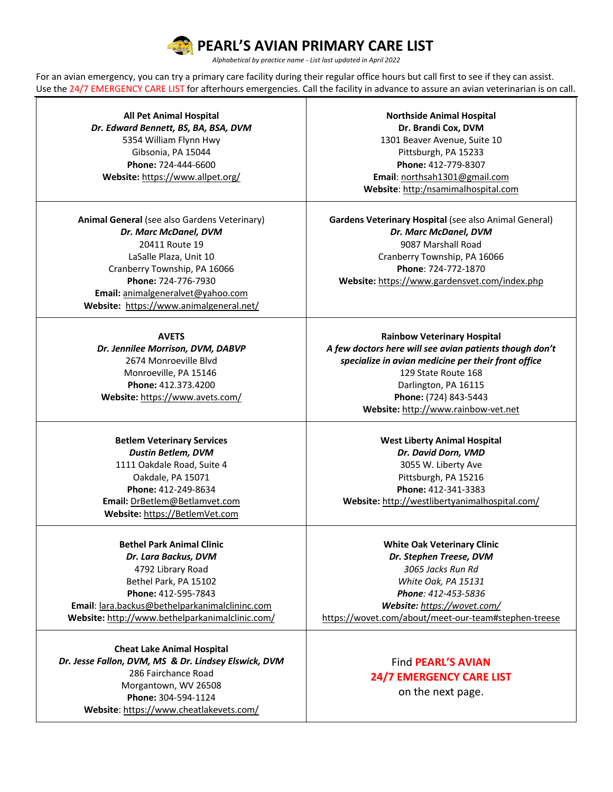# **PEARL'S AVIAN PRIMARY CARE LIST**

*Alphabetical by practice name - List last updated in April 2022*

For an avian emergency, you can try a primary care facility during their regular office hours but call first to see if they can assist. Use the 24/7 EMERGENCY CARE LIST for afterhours emergencies. Call the facility in advance to assure an avian veterinarian is on call.

**All Pet Animal Hospital** *Dr. Edward Bennett, BS, BA, BSA, DVM* 5354 William Flynn Hwy Gibsonia, PA 15044 **Phone:** 724-444-6600 **Website:** https://www.allpet.org/

**Animal General** (see also Gardens Veterinary) *Dr. Marc McDanel, DVM* 20411 Route 19 LaSalle Plaza, Unit 10 Cranberry Township, PA 16066 **Phone:** 724-776-7930 **Email:** animalgeneralvet@yahoo.com **Website:** https://www.animalgeneral.net/

#### **AVETS**

*Dr. Jennilee Morrison, DVM, DABVP* 2674 Monroeville Blvd Monroeville, PA 15146 **Phone:** 412.373.4200 **Website:** https://www.avets.com/

### **Betlem Veterinary Services** *Dustin Betlem, DVM* 1111 Oakdale Road, Suite 4 Oakdale, PA 15071 **Phone:** 412-249-8634 **Email:** DrBetlem@Betlamvet.com **Website:** https://BetlemVet.com

**Bethel Park Animal Clinic** *Dr. Lara Backus, DVM* 4792 Library Road Bethel Park, PA 15102 **Phone:** 412-595-7843 **Email**: lara.backus@bethelparkanimalclininc.com **Website:** http://www.bethelparkanimalclinic.com/

**Cheat Lake Animal Hospital** *Dr. Jesse Fallon, DVM, MS & Dr. Lindsey Elswick, DVM* 286 Fairchance Road Morgantown, WV 26508 **Phone:** 304-594-1124 **Website**: https://www.cheatlakevets.com/

**Northside Animal Hospital Dr. Brandi Cox, DVM** 1301 Beaver Avenue, Suite 10 Pittsburgh, PA 15233 **Phone:** 412-779-8307 **Email**: northsah1301@gmail.com **Website**: http:/nsamimalhospital.com

**Gardens Veterinary Hospital** (see also Animal General) *Dr. Marc McDanel, DVM* 9087 Marshall Road Cranberry Township, PA 16066 **Phone**: 724-772-1870 **Website:** https://www.gardensvet.com/index.php

**Rainbow Veterinary Hospital** *A few doctors here will see avian patients though don't specialize in avian medicine per their front office* 129 State Route 168 Darlington, PA 16115 **Phone:** (724) 843-5443 **Website:** http://www.rainbow-vet.net

**West Liberty Animal Hospital** *Dr. David Dorn, VMD* 3055 W. Liberty Ave Pittsburgh, PA 15216 **Phone:** 412-341-3383 **Website:** http://westlibertyanimalhospital.com/

**White Oak Veterinary Clinic** *Dr. Stephen Treese, DVM 3065 Jacks Run Rd White Oak, PA 15131 Phone: 412-453-5836 Website: https://wovet.com/* https://wovet.com/about/meet-our-team#stephen-treese

## Find **PEARL'S AVIAN 24/7 EMERGENCY CARE LIST**

on the next page.